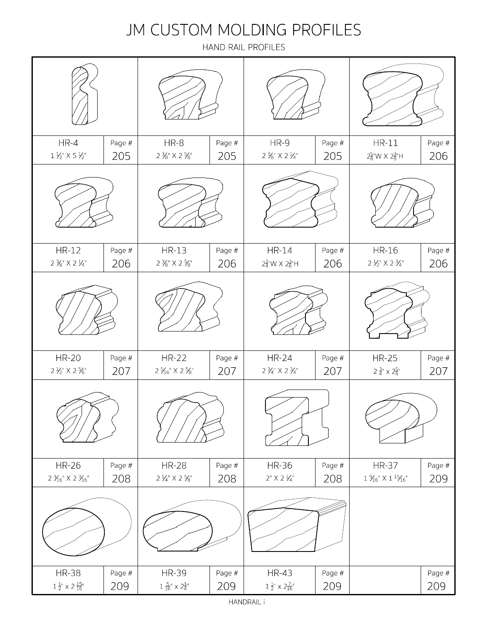#### JM CUSTOM MOLDING PROFILES

HAND RAIL PROFILES

| $HR-4$<br>$1\frac{1}{2}$ X 5 $\frac{1}{2}$                      | Page #<br>205 | $HR-8$<br>$2\mathcal{H}^{\scriptscriptstyle\mathsf{H}}\!\!\!\!\!\times$ 2 $\mathcal{H}^{\scriptscriptstyle\mathsf{H}}\!\!\!\!\!\times$ | Page #<br>205 | HR-9<br>2 $\frac{3}{8}$ " X 2 $\frac{1}{4}$ "                 | Page #<br>205 | $HR-11$<br>$2\frac{5}{8}$ W X $2\frac{3}{8}$ H      | Page #<br>206 |
|-----------------------------------------------------------------|---------------|----------------------------------------------------------------------------------------------------------------------------------------|---------------|---------------------------------------------------------------|---------------|-----------------------------------------------------|---------------|
|                                                                 |               |                                                                                                                                        |               |                                                               |               |                                                     |               |
| <b>HR-12</b><br>2 $\frac{3}{8}$ " X 2 $\frac{1}{4}$ "           | Page #<br>206 | <b>HR-13</b><br>$2\mathcal{%}$ " X 2 $\mathcal{%}$ "                                                                                   | Page #<br>206 | <b>HR-14</b><br>$2\frac{3}{4}$ "W X $2\frac{3}{8}$ "H         | Page #<br>206 | HR-16<br>$2\frac{1}{2}$ " X 2 $\frac{3}{4}$ "       | Page #<br>206 |
|                                                                 |               |                                                                                                                                        |               |                                                               |               |                                                     |               |
| <b>HR-20</b><br>$2\frac{1}{2}$ " X 2 $\frac{5}{8}$ "            | Page #<br>207 | <b>HR-22</b><br>2 $\frac{5}{16}$ " X 2 $\frac{5}{8}$ "                                                                                 | Page #<br>207 | <b>HR-24</b><br>$2\frac{3}{4}$ " X 2 $\frac{3}{4}$ "          | Page #<br>207 | <b>HR-25</b><br>$2\,\frac{3}{4}$ $\times$ $2_8^{5}$ | Page #<br>207 |
|                                                                 |               |                                                                                                                                        |               |                                                               |               |                                                     |               |
| <b>HR-26</b><br>2 $\frac{3}{16}$ " X 2 $\frac{3}{16}$ "         | Page #<br>208 | <b>HR-28</b><br>$2\,\mathcal{H}^{\shortparallel} \times 2\,\mathcal{H}^{\shortparallel}$                                               | Page #<br>208 | <b>HR-36</b><br>$2"$ X 2 $\frac{1}{4"$                        | Page #<br>208 | <b>HR-37</b><br>$1\ \%^\circ \times 1\ ^1\%^\circ$  | Page #<br>209 |
|                                                                 |               |                                                                                                                                        |               |                                                               |               |                                                     |               |
| <b>HR-38</b><br>$1\,\frac{1}{2}$ " $\times$ 2 $\frac{15}{16}$ " | Page #<br>209 | <b>HR-39</b><br>$1\,\frac{5}{16}$ " $\times$ $2\frac{1}{4}$ "                                                                          | Page #<br>209 | <b>HR-43</b><br>$1\,\frac{1}{2}$ " $\times$ $2\frac{7}{16}$ " | Page #<br>209 |                                                     | Page #<br>209 |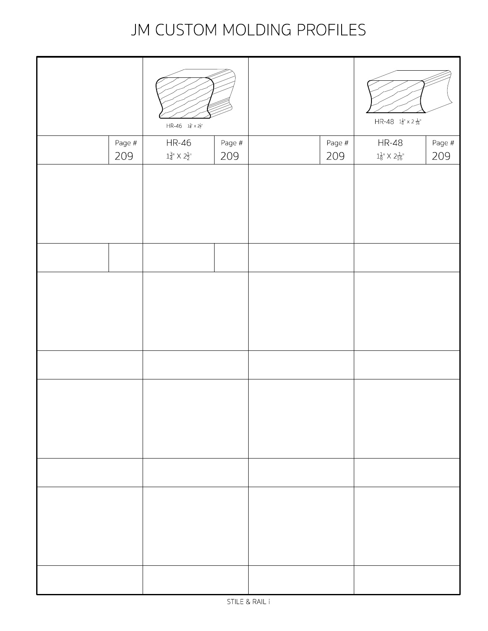#### JM CUSTOM MOLDING PROFILES

|               | $HR - 46 - 1^3_4 \times 2^1_2$                                                         |               |  |                 | $HR-48$ $1\frac{1}{8}$ " x 2 $\frac{1}{16}$ " |               |
|---------------|----------------------------------------------------------------------------------------|---------------|--|-----------------|-----------------------------------------------|---------------|
| Page #<br>209 | <b>HR-46</b><br>$1^{\frac{3}{4} \shortparallel} \times 2^{\frac{1}{2} \shortparallel}$ | Page #<br>209 |  | Page $#$<br>209 | <b>HR-48</b><br>$1_8^{1}$ X $2_{16}^{1}$ "    | Page #<br>209 |
|               |                                                                                        |               |  |                 |                                               |               |
|               |                                                                                        |               |  |                 |                                               |               |
|               |                                                                                        |               |  |                 |                                               |               |
|               |                                                                                        |               |  |                 |                                               |               |
|               |                                                                                        |               |  |                 |                                               |               |
|               |                                                                                        |               |  |                 |                                               |               |
|               |                                                                                        |               |  |                 |                                               |               |
|               |                                                                                        |               |  |                 |                                               |               |
|               |                                                                                        |               |  |                 |                                               |               |
|               |                                                                                        |               |  |                 |                                               |               |
|               |                                                                                        |               |  |                 |                                               |               |
|               |                                                                                        |               |  |                 |                                               |               |
|               |                                                                                        |               |  |                 |                                               |               |
|               |                                                                                        |               |  |                 |                                               |               |
|               |                                                                                        |               |  |                 |                                               |               |
|               |                                                                                        |               |  |                 |                                               |               |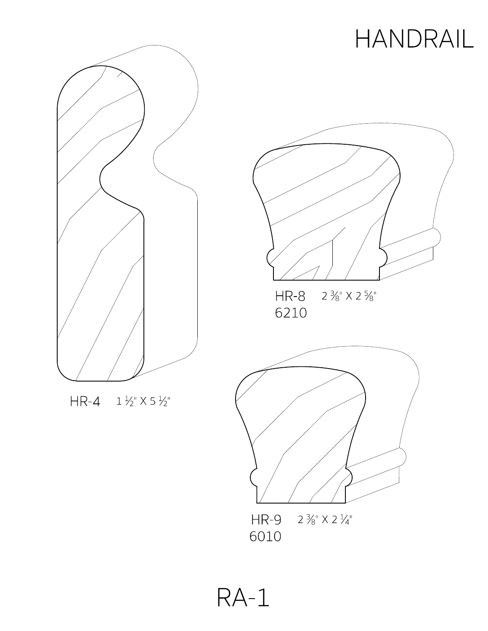

 $HR - 4$   $1\frac{1}{2}$   $\times$  5  $\frac{1}{2}$ 



6010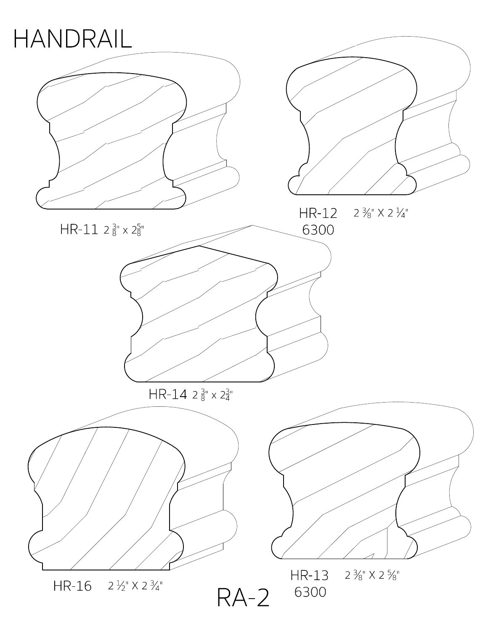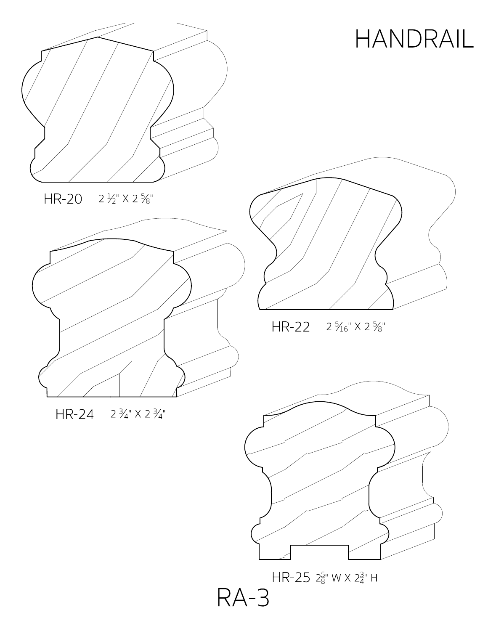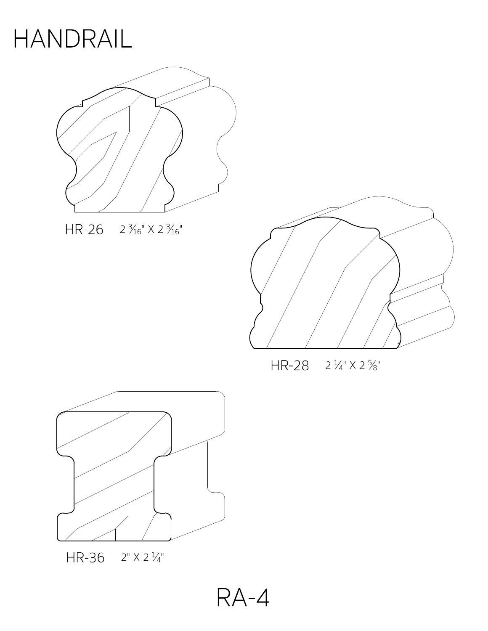

 $HR-26$   $2\frac{3}{16}$ "  $\times$  2 $\frac{3}{16}$ "



 $HR-28$   $2\frac{1}{4}$   $\times$   $2\frac{5}{8}$ "



 $HR-36$   $2" X 2 \frac{1}{4"$